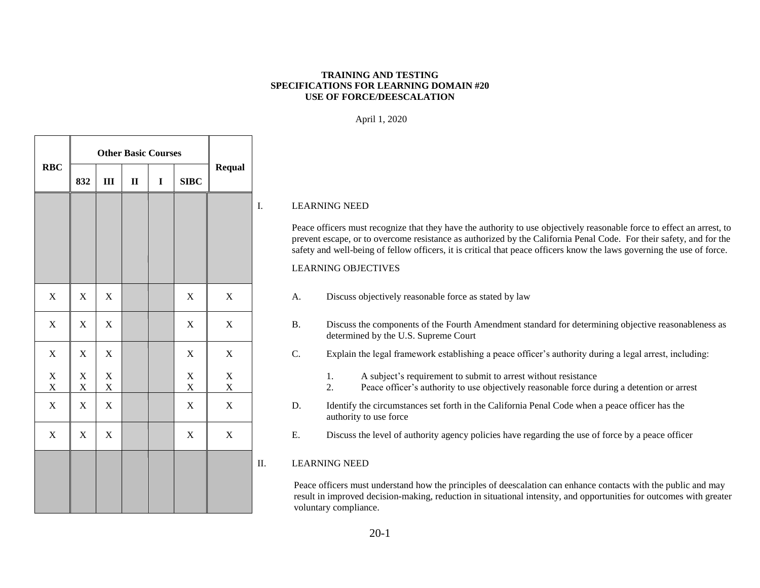#### **TRAINING AND TESTING SPECIFICATIONS FOR LEARNING DOMAIN #20 USE OF FORCE/DEESCALATION**

April 1, 2020

|            |                         |                               |                             | <b>Other Basic Courses</b> |      |                         |                             |             |
|------------|-------------------------|-------------------------------|-----------------------------|----------------------------|------|-------------------------|-----------------------------|-------------|
| <b>RBC</b> | 832                     | III                           | $\mathbf{I}\mathbf{I}$      | I                          | SIDC | <b>Requal</b>           |                             |             |
|            |                         |                               |                             |                            |      |                         |                             | $\mathbf I$ |
|            |                         |                               |                             |                            |      |                         |                             |             |
|            |                         |                               |                             |                            |      |                         |                             |             |
|            |                         |                               |                             |                            |      |                         |                             |             |
|            | $\mathbf X$             | $\mathbf X$                   | $\mathbf X$                 |                            |      | $\mathbf X$             | $\mathbf X$                 |             |
|            | $\mathbf X$             | $\mathbf X$                   | $\mathbf X$                 |                            |      | $\mathbf X$             | $\mathbf X$                 |             |
|            | $\mathbf X$             | $\mathbf X$                   | $\mathbf X$                 |                            |      | $\mathbf X$             | $\mathbf X$                 |             |
|            | $\mathbf X$<br>$\bf{X}$ | $\mathbf X$<br>$\overline{X}$ | $\mathbf X$<br>$\mathbf{X}$ |                            |      | $\mathbf X$<br>$\bf{X}$ | $\mathbf X$<br>$\mathbf{X}$ |             |
|            | $\mathbf X$             | $\mathbf X$                   | $\mathbf X$                 |                            |      | $\mathbf X$             | $\mathbf X$                 |             |
|            | $\mathbf X$             | $\mathbf X$                   | $\boldsymbol{\mathrm{X}}$   |                            |      | $\mathbf X$             | $\mathbf X$                 |             |
|            |                         |                               |                             |                            |      |                         |                             | $\mathbf I$ |
|            |                         |                               |                             |                            |      |                         |                             |             |
|            |                         |                               |                             |                            |      |                         |                             |             |

### I. LEARNING NEED

Peace officers must recognize that they have the authority to use objectively reasonable force to effect an arrest, to prevent escape, or to overcome resistance as authorized by the California Penal Code. For their safety, and for the safety and well-being of fellow officers, it is critical that peace officers know the laws governing the use of force.

### LEARNING OBJECTIVES

- A. Discuss objectively reasonable force as stated by law
- B. Discuss the components of the Fourth Amendment standard for determining objective reasonableness as determined by the U.S. Supreme Court
- C. Explain the legal framework establishing a peace officer's authority during a legal arrest, including:
	- 1. A subject's requirement to submit to arrest without resistance
	- 2. Peace officer's authority to use objectively reasonable force during a detention or arrest
- D. Identify the circumstances set forth in the California Penal Code when a peace officer has the authority to use force
- E. Discuss the level of authority agency policies have regarding the use of force by a peace officer

## II. LEARNING NEED

Peace officers must understand how the principles of deescalation can enhance contacts with the public and may result in improved decision-making, reduction in situational intensity, and opportunities for outcomes with greater voluntary compliance.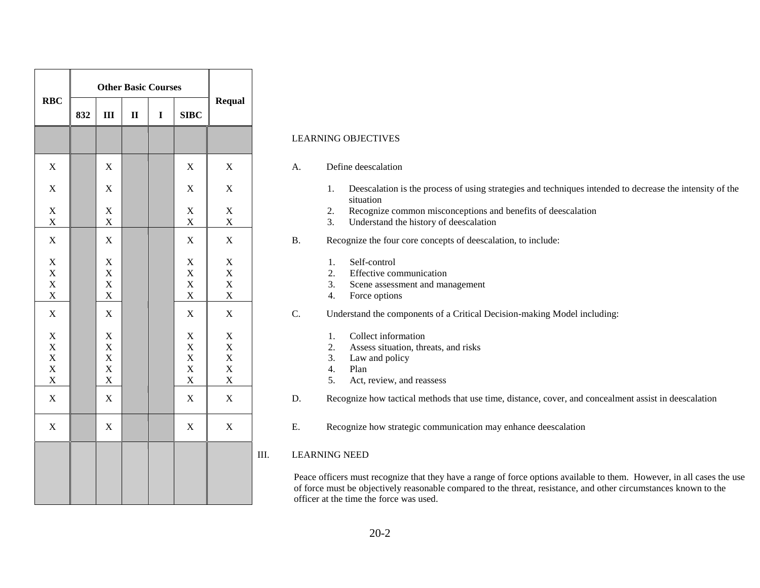|                                                                      |     | <b>Other Basic Courses</b>                        |              |             |                                                                       |                                                                         |  |  |  |  |
|----------------------------------------------------------------------|-----|---------------------------------------------------|--------------|-------------|-----------------------------------------------------------------------|-------------------------------------------------------------------------|--|--|--|--|
| <b>RBC</b>                                                           | 832 | III                                               | $\mathbf{I}$ | $\mathbf I$ | <b>SIBC</b>                                                           | <b>Requal</b>                                                           |  |  |  |  |
|                                                                      |     |                                                   |              |             |                                                                       |                                                                         |  |  |  |  |
| $\mathbf X$                                                          |     | $\bar{X}$                                         |              |             | $\mathbf X$                                                           | $\mathbf X$                                                             |  |  |  |  |
| X                                                                    |     | X                                                 |              |             | X                                                                     | $\mathbf X$                                                             |  |  |  |  |
| $\mathbf X$<br>$\mathbf X$                                           |     | $\mathbf X$<br>$\mathbf X$                        |              |             | $\mathbf X$<br>$\mathbf X$                                            | $\mathbf X$<br>$\mathbf X$                                              |  |  |  |  |
| $\mathbf X$                                                          |     | $\mathbf X$                                       |              |             | $\mathbf X$                                                           | $\mathbf X$                                                             |  |  |  |  |
| $\mathbf X$<br>$\mathbf X$<br>$\mathbf X$<br>$\overline{\mathbf{X}}$ |     | $\mathbf X$<br>$\bar{X}$<br>X<br>X                |              |             | $\mathbf X$<br>$\mathbf X$<br>$\mathbf X$<br>$\mathbf X$              | $\mathbf X$<br>$\mathbf X$<br>$\mathbf X$<br>$\boldsymbol{\mathrm{X}}$  |  |  |  |  |
| $\mathbf X$                                                          |     | X                                                 |              |             | $\mathbf X$                                                           | $\mathbf X$                                                             |  |  |  |  |
| $\bar{X}$<br>$\bar{X}$<br>$\bar{X}$<br>$\bar{X}$<br>$\mathbf X$      |     | $\mathbf X$<br>$\bar{X}$<br>X<br>X<br>$\mathbf X$ |              |             | $\mathbf X$<br>$\mathbf X$<br>$\bar{X}$<br>$\mathbf X$<br>$\mathbf X$ | $\mathbf X$<br>$\mathbf X$<br>$\mathbf X$<br>$\mathbf X$<br>$\mathbf X$ |  |  |  |  |
| $\mathbf X$                                                          |     | $\mathbf X$                                       |              |             | $\mathbf X$                                                           | $\mathbf X$                                                             |  |  |  |  |
| $\mathbf X$                                                          |     | $\overline{X}$                                    |              |             | $\mathbf X$                                                           | $\mathbf X$                                                             |  |  |  |  |
|                                                                      |     |                                                   |              |             |                                                                       |                                                                         |  |  |  |  |

### LEARNING OBJECTIVES

#### A. Define deescalation

- 1. Deescalation is the process of using strategies and techniques intended to decrease the intensity of the situation
- 2. Recognize common misconceptions and benefits of deescalation
- 3. Understand the history of deescalation
- B. Recognize the four core concepts of deescalation, to include:
	- 1. Self-control
	- 2. Effective communication
	- 3. Scene assessment and management
	- 4. Force options
- C. Understand the components of a Critical Decision-making Model including:
	- 1. Collect information
	- 2. Assess situation, threats, and risks
	- 3. Law and policy
	- 4. Plan
	- 5. Act, review, and reassess
- D. Recognize how tactical methods that use time, distance, cover, and concealment assist in deescalation
- E. Recognize how strategic communication may enhance deescalation

#### III. LEARNING NEED

Peace officers must recognize that they have a range of force options available to them. However, in all cases the use of force must be objectively reasonable compared to the threat, resistance, and other circumstances known to the officer at the time the force was used.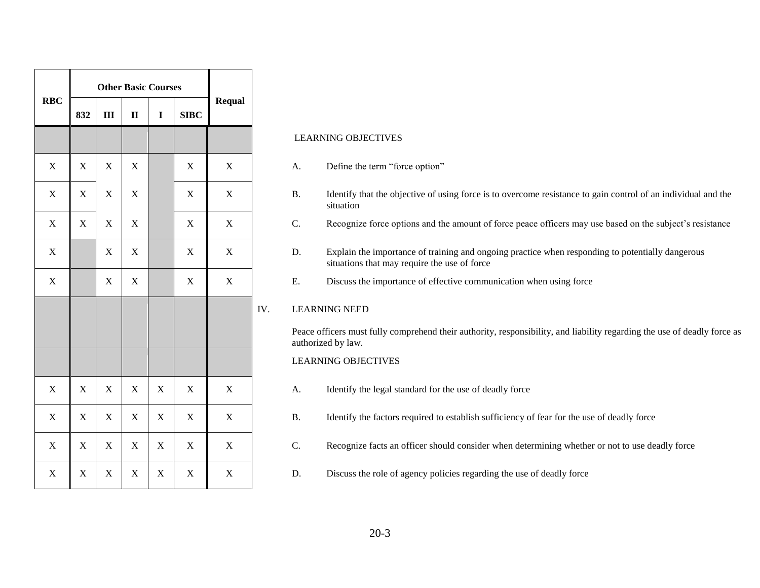|             |             |             | <b>Other Basic Courses</b> |             |             |               |
|-------------|-------------|-------------|----------------------------|-------------|-------------|---------------|
| <b>RBC</b>  | 832         | III         | $\mathbf{I}$               | $\mathbf I$ | SIDC        | <b>Requal</b> |
|             |             |             |                            |             |             |               |
| $\mathbf X$ | $\mathbf X$ | $\mathbf X$ | $\mathbf X$                |             | $\mathbf X$ | $\mathbf X$   |
| $\mathbf X$ | $\mathbf X$ | $\mathbf X$ | $\mathbf X$                |             | $\mathbf X$ | $\mathbf X$   |
| $\mathbf X$ | $\mathbf X$ | $\mathbf X$ | $\bar{X}$                  |             | $\mathbf X$ | $\mathbf X$   |
| $\mathbf X$ |             | $\mathbf X$ | $\mathbf X$                |             | $\mathbf X$ | $\mathbf X$   |
| X           |             | $\mathbf X$ | $\mathbf X$                |             | $\mathbf X$ | $\mathbf X$   |
|             |             |             |                            |             |             |               |
|             |             |             |                            |             |             |               |
|             |             |             |                            |             |             |               |
| $\mathbf X$ | $\mathbf X$ | $\mathbf X$ | $\mathbf X$                | $\mathbf X$ | $\mathbf X$ | $\mathbf X$   |
| $\mathbf X$ | $\mathbf X$ | $\mathbf X$ | $\mathbf X$                | $\mathbf X$ | $\mathbf X$ | $\mathbf X$   |
| $\mathbf X$ | $\mathbf X$ | $\mathbf X$ | $\mathbf X$                | $\mathbf X$ | $\mathbf X$ | $\mathbf X$   |
| $\mathbf X$ | $\mathbf X$ | $\mathbf X$ | $\mathbf X$                | $\mathbf X$ | $\mathbf X$ | $\mathbf X$   |

#### LEARNING OBJECTIVES

- A. Define the term "force option"
- B. Identify that the objective of using force is to overcome resistance to gain control of an individual and the situation
- C. Recognize force options and the amount of force peace officers may use based on the subject's resistance
- D. Explain the importance of training and ongoing practice when responding to potentially dangerous situations that may require the use of force
- E. Discuss the importance of effective communication when using force

### IV. LEARNING NEED

Peace officers must fully comprehend their authority, responsibility, and liability regarding the use of deadly force as authorized by law.

## LEARNING OBJECTIVES

- A. Identify the legal standard for the use of deadly force
- B. Identify the factors required to establish sufficiency of fear for the use of deadly force
- C. Recognize facts an officer should consider when determining whether or not to use deadly force
- D. Discuss the role of agency policies regarding the use of deadly force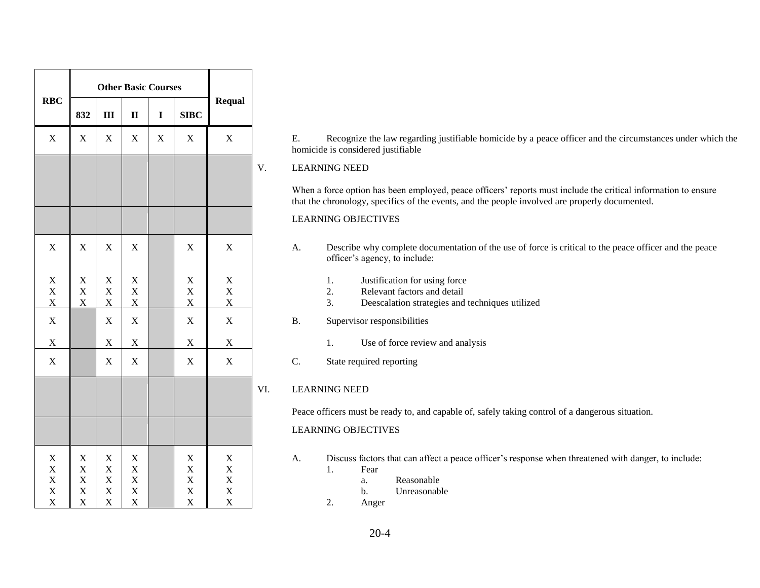|                                           |                                                   |                                                                       |                                         | <b>Other Basic Courses</b> |                                              |                                    |
|-------------------------------------------|---------------------------------------------------|-----------------------------------------------------------------------|-----------------------------------------|----------------------------|----------------------------------------------|------------------------------------|
| <b>RBC</b>                                | 832                                               | III                                                                   | $\mathbf{I}$                            | $\mathbf I$                | <b>SIBC</b>                                  | <b>Requal</b>                      |
| $\mathbf X$                               | $\mathbf X$                                       | $\mathbf X$                                                           | $\mathbf X$                             | $\mathbf X$                | $\mathbf X$                                  | $\mathbf X$                        |
|                                           |                                                   |                                                                       |                                         |                            |                                              |                                    |
|                                           |                                                   |                                                                       |                                         |                            |                                              |                                    |
|                                           |                                                   |                                                                       |                                         |                            |                                              |                                    |
| X                                         | $\mathbf X$                                       | $\mathbf X$                                                           | $\mathbf X$                             |                            | $\mathbf X$                                  | X                                  |
| X                                         | $\mathbf X$                                       | X                                                                     | $\mathbf X$                             |                            | $\mathbf X$                                  | $\mathbf X$                        |
| $\overline{\mathbf{X}}$<br>$\overline{X}$ | $\mathbf X$<br>X                                  | $\overline{X}$<br>X                                                   | X<br>$\overline{\mathbf{X}}$            |                            | $\bar{X}$<br>$\mathbf X$                     | $\bar{X}$<br>$\overline{X}$        |
| X                                         |                                                   | $\overline{X}$                                                        | $\overline{X}$                          |                            | X                                            | X                                  |
| X                                         |                                                   | $\mathbf X$                                                           | X                                       |                            | $\mathbf X$                                  | X                                  |
| X                                         |                                                   | $\boldsymbol{\mathrm{X}}$                                             | $\bar{X}$                               |                            | $\bar{X}$                                    | X                                  |
|                                           |                                                   |                                                                       |                                         |                            |                                              |                                    |
|                                           |                                                   |                                                                       |                                         |                            |                                              |                                    |
| X<br>X<br>$\overline{X}$<br>X<br>X        | $\mathbf X$<br>$\mathbf X$<br>X<br>X<br>$\bar{X}$ | $\mathbf X$<br>$\mathbf X$<br>$\mathbf X$<br>$\mathbf X$<br>$\bar{X}$ | $\mathbf X$<br>X<br>X<br>X<br>$\bar{X}$ |                            | $\mathbf X$<br>X<br>X<br>X<br>$\overline{X}$ | X<br>X<br>X<br>X<br>$\overline{X}$ |

E. Recognize the law regarding justifiable homicide by a peace officer and the circumstances under which the homicide is considered justifiable

#### V. LEARNING NEED

When a force option has been employed, peace officers' reports must include the critical information to ensure that the chronology, specifics of the events, and the people involved are properly documented.

### LEARNING OBJECTIVES

- A. Describe why complete documentation of the use of force is critical to the peace officer and the peace officer's agency, to include:
	- 1. Justification for using force
	- 2. Relevant factors and detail
	- 3. Deescalation strategies and techniques utilized
- B. Supervisor responsibilities
	- 1. Use of force review and analysis
- C. State required reporting

### VI. LEARNING NEED

Peace officers must be ready to, and capable of, safely taking control of a dangerous situation.

#### LEARNING OBJECTIVES

- A. Discuss factors that can affect a peace officer's response when threatened with danger, to include:
	- 1. Fear
		- a. Reasonable
		- b. Unreasonable
	- 2. Anger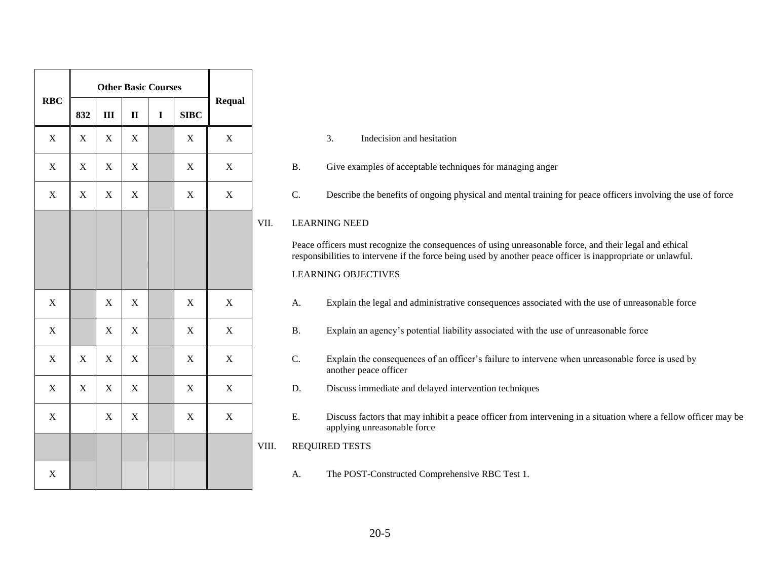| <b>RBC</b>  | 832         | $\mathbf{III}$ | $\mathbf{I}$   | $\mathbf I$ | <b>SIBC</b> | <b>Requal</b> |
|-------------|-------------|----------------|----------------|-------------|-------------|---------------|
| $\mathbf X$ | $\mathbf X$ | $\mathbf X$    | $\mathbf X$    |             | $\mathbf X$ | $\mathbf X$   |
| $\mathbf X$ | $\mathbf X$ | $\mathbf X$    | $\mathbf X$    |             | $\mathbf X$ | $\mathbf X$   |
| $\mathbf X$ | $\mathbf X$ | $\mathbf X$    | $\mathbf X$    |             | $\mathbf X$ | $\mathbf X$   |
|             |             |                |                |             |             |               |
|             |             |                |                |             |             |               |
|             |             |                |                |             |             |               |
| $\mathbf X$ |             | $\mathbf X$    | $\overline{X}$ |             | $\mathbf X$ | $\mathbf X$   |
| $\mathbf X$ |             | $\mathbf X$    | $\mathbf X$    |             | $\mathbf X$ | $\mathbf X$   |
| $\mathbf X$ | $\mathbf X$ | $\mathbf X$    | $\mathbf X$    |             | $\mathbf X$ | $\mathbf X$   |
| $\mathbf X$ | $\mathbf X$ | $\mathbf X$    | $\mathbf X$    |             | $\mathbf X$ | $\mathbf X$   |
| $\mathbf X$ |             | $\mathbf X$    | X              |             | $\mathbf X$ | X             |
|             |             |                |                |             |             |               |
| $\mathbf X$ |             |                |                |             |             |               |

- 3. Indecision and hesitation
- B. Give examples of acceptable techniques for managing anger
- C. Describe the benefits of ongoing physical and mental training for peace officers involving the use of force

### VII. LEARNING NEED

Peace officers must recognize the consequences of using unreasonable force, and their legal and ethical responsibilities to intervene if the force being used by another peace officer is inappropriate or unlawful.

## LEARNING OBJECTIVES

- A. Explain the legal and administrative consequences associated with the use of unreasonable force
- B. Explain an agency's potential liability associated with the use of unreasonable force
- C. Explain the consequences of an officer's failure to intervene when unreasonable force is used by another peace officer
- D. Discuss immediate and delayed intervention techniques
- E. Discuss factors that may inhibit a peace officer from intervening in a situation where a fellow officer may be applying unreasonable force

## VIII. REQUIRED TESTS

A. The POST-Constructed Comprehensive RBC Test 1.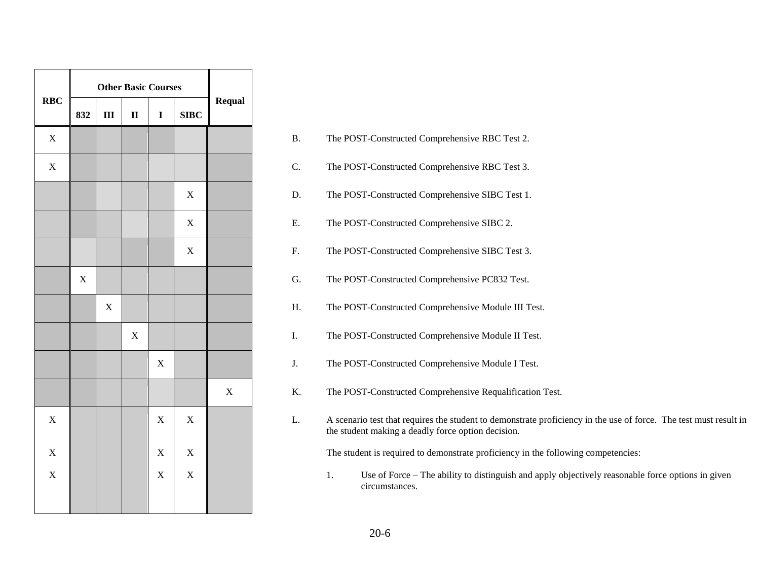|             |             |             | <b>Other Basic Courses</b> |             |             |             |
|-------------|-------------|-------------|----------------------------|-------------|-------------|-------------|
| <b>RBC</b>  | 832         | III         | $\mathbf{I}$               | $\mathbf I$ | <b>SIBC</b> | Requal      |
| $\mathbf X$ |             |             |                            |             |             |             |
| $\mathbf X$ |             |             |                            |             |             |             |
|             |             |             |                            |             | $\mathbf X$ |             |
|             |             |             |                            |             | $\mathbf X$ |             |
|             |             |             |                            |             | $\mathbf X$ |             |
|             | $\mathbf X$ |             |                            |             |             |             |
|             |             | $\mathbf X$ |                            |             |             |             |
|             |             |             | $\mathbf X$                |             |             |             |
|             |             |             |                            | $\mathbf X$ |             |             |
|             |             |             |                            |             |             | $\mathbf X$ |
| $\bar{X}$   |             |             |                            | $\bar{X}$   | $\bar{X}$   |             |
| X           |             |             |                            | $\mathbf X$ | $\mathbf X$ |             |
| $\mathbf X$ |             |             |                            | X           | $\mathbf X$ |             |
|             |             |             |                            |             |             |             |

|                         | 0J4         | TTT.             | ш           |             | <b>DIDL</b> |             |            |                                                                                                                                                                         |
|-------------------------|-------------|------------------|-------------|-------------|-------------|-------------|------------|-------------------------------------------------------------------------------------------------------------------------------------------------------------------------|
| $\overline{\text{X}}$   |             |                  |             |             |             |             | B.         | The POST-Constructed Comprehensive RBC Test 2.                                                                                                                          |
| $\overline{\mathrm{X}}$ |             |                  |             |             |             |             | C.         | The POST-Constructed Comprehensive RBC Test 3.                                                                                                                          |
|                         |             |                  |             |             | $\mathbf X$ |             | D.         | The POST-Constructed Comprehensive SIBC Test 1.                                                                                                                         |
|                         |             |                  |             |             | $\mathbf X$ |             | ${\bf E}.$ | The POST-Constructed Comprehensive SIBC 2.                                                                                                                              |
|                         |             |                  |             |             | $\mathbf X$ |             | ${\bf F}.$ | The POST-Constructed Comprehensive SIBC Test 3.                                                                                                                         |
|                         | $\mathbf X$ |                  |             |             |             |             | G.         | The POST-Constructed Comprehensive PC832 Test.                                                                                                                          |
|                         |             | $\boldsymbol{X}$ |             |             |             |             | Η.         | The POST-Constructed Comprehensive Module III Test.                                                                                                                     |
|                         |             |                  | $\mathbf X$ |             |             |             | Ι.         | The POST-Constructed Comprehensive Module II Test.                                                                                                                      |
|                         |             |                  |             | $\mathbf X$ |             |             | J.         | The POST-Constructed Comprehensive Module I Test.                                                                                                                       |
|                         |             |                  |             |             |             | $\mathbf X$ | K.         | The POST-Constructed Comprehensive Requalification Test.                                                                                                                |
| X                       |             |                  |             | $\mathbf X$ | $\mathbf X$ |             | L.         | A scenario test that requires the student to demonstrate proficiency in the use of force. The test must result in<br>the student making a deadly force option decision. |
| X                       |             |                  |             | $\mathbf X$ | $\mathbf X$ |             |            | The student is required to demonstrate proficiency in the following competencies:                                                                                       |
| X                       |             |                  |             | $\mathbf X$ | $\mathbf X$ |             |            | Use of Force – The ability to distinguish and apply objectively reasonable force options in given<br>1.<br>circumstances.                                               |
|                         |             |                  |             |             |             |             |            |                                                                                                                                                                         |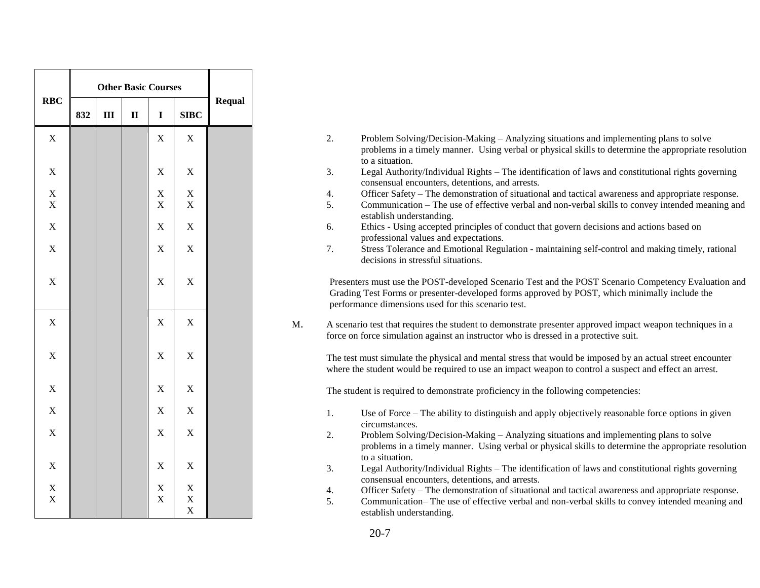| <b>RBC</b>               | 832 | III | $\mathbf{I}\mathbf{I}$ | $\mathbf I$                            | SIDC                                    | <b>Requal</b> |
|--------------------------|-----|-----|------------------------|----------------------------------------|-----------------------------------------|---------------|
| $\mathbf X$              |     |     |                        | $\mathbf X$                            | $\mathbf X$                             |               |
| $\mathbf X$              |     |     |                        | $\mathbf X$                            | $\mathbf X$                             |               |
| $\bar{X}$<br>$\mathbf X$ |     |     |                        | $\mathbf X$<br>$\mathbf X$             | $\mathbf X$<br>$\mathbf X$              |               |
| $\bar{X}$                |     |     |                        | X                                      | X                                       |               |
| $\bar{X}$                |     |     |                        | X                                      | $\bar{X}$                               |               |
| X                        |     |     |                        | $\bar{X}$                              | $\mathbf X$                             |               |
|                          |     |     |                        |                                        |                                         |               |
| $\mathbf X$              |     |     |                        | $\mathbf X$                            | $\mathbf X$                             |               |
| $\bar{X}$                |     |     |                        | $\mathbf X$                            | $\mathbf X$                             |               |
| $\mathbf X$              |     |     |                        | $\mathbf X$                            | $\mathbf X$                             |               |
| $\bar{X}$                |     |     |                        | X                                      | $\bar{X}$                               |               |
| $\bar{X}$                |     |     |                        | X                                      | $\bar{X}$                               |               |
| $\bar{X}$                |     |     |                        | X                                      | X                                       |               |
| $\mathbf X$<br>$\bar{X}$ |     |     |                        | $\mathbf X$<br>$\overline{\textbf{X}}$ | $\mathbf X$<br>$\mathbf X$<br>$\bar{X}$ |               |

- 2. Problem Solving/Decision-Making Analyzing situations and implementing plans to solve problems in a timely manner. Using verbal or physical skills to determine the appropriate resolution to a situation. 3. Legal Authority/Individual Rights – The identification of laws and constitutional rights governing
- consensual encounters, detentions, and arrests.
- 4. Officer Safety The demonstration of situational and tactical awareness and appropriate response.
- 5. Communication The use of effective verbal and non-verbal skills to convey intended meaning and establish understanding.
- 6. Ethics Using accepted principles of conduct that govern decisions and actions based on professional values and expectations.
- 7. Stress Tolerance and Emotional Regulation maintaining self-control and making timely, rational decisions in stressful situations.

Presenters must use the POST-developed Scenario Test and the POST Scenario Competency Evaluation and Grading Test Forms or presenter-developed forms approved by POST, which minimally include the performance dimensions used for this scenario test.

M. A scenario test that requires the student to demonstrate presenter approved impact weapon techniques in a force on force simulation against an instructor who is dressed in a protective suit.

The test must simulate the physical and mental stress that would be imposed by an actual street encounter where the student would be required to use an impact weapon to control a suspect and effect an arrest.

The student is required to demonstrate proficiency in the following competencies:

- 1. Use of Force The ability to distinguish and apply objectively reasonable force options in given circumstances.
- 2. Problem Solving/Decision-Making Analyzing situations and implementing plans to solve problems in a timely manner. Using verbal or physical skills to determine the appropriate resolution to a situation.
- 3. Legal Authority/Individual Rights The identification of laws and constitutional rights governing consensual encounters, detentions, and arrests.
- 4. Officer Safety The demonstration of situational and tactical awareness and appropriate response.
- 5. Communication– The use of effective verbal and non-verbal skills to convey intended meaning and establish understanding.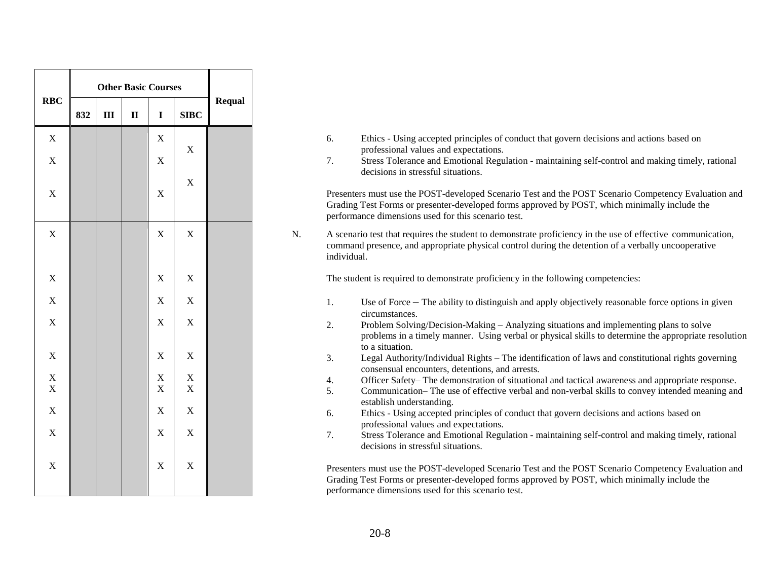|                            |     |                | <b>Other Basic Courses</b> |                            |                            |               |
|----------------------------|-----|----------------|----------------------------|----------------------------|----------------------------|---------------|
| RBC                        | 832 | $\mathbf{III}$ | $\mathbf{I}$               | $\mathbf I$                | <b>SIBC</b>                | <b>Requal</b> |
| $\bar{X}$                  |     |                |                            | $\mathbf X$                | $\mathbf X$                |               |
| $\bar{X}$                  |     |                |                            | $\overline{X}$             |                            |               |
| $\mathbf X$                |     |                |                            | $\mathbf X$                | $\mathbf X$                |               |
| $\mathbf X$                |     |                |                            | $\mathbf X$                | $\mathbf X$                |               |
| $\mathbf X$                |     |                |                            | $\bar{X}$                  | $\mathbf X$                |               |
| X                          |     |                |                            | $\bar{X}$                  | $\mathbf X$                |               |
| X                          |     |                |                            | $\mathbf X$                | $\mathbf X$                |               |
| X                          |     |                |                            | $\mathbf X$                | $\mathbf X$                |               |
| $\mathbf X$<br>$\mathbf X$ |     |                |                            | $\mathbf X$<br>$\mathbf X$ | $\mathbf X$<br>$\mathbf X$ |               |
| X                          |     |                |                            | $\mathbf X$                | $\mathbf X$                |               |
| $\bar{X}$                  |     |                |                            | $\mathbf X$                | $\overline{X}$             |               |
| $\bar{X}$                  |     |                |                            | $\overline{X}$             | $\bar{X}$                  |               |
|                            |     |                |                            |                            |                            |               |

- 6. Ethics Using accepted principles of conduct that govern decisions and actions based on professional values and expectations.
- 7. Stress Tolerance and Emotional Regulation maintaining self-control and making timely, rational decisions in stressful situations.

Presenters must use the POST-developed Scenario Test and the POST Scenario Competency Evaluation and Grading Test Forms or presenter-developed forms approved by POST, which minimally include the performance dimensions used for this scenario test.

N. A scenario test that requires the student to demonstrate proficiency in the use of effective communication, command presence, and appropriate physical control during the detention of a verbally uncooperative individual.

The student is required to demonstrate proficiency in the following competencies:

- 1. Use of Force The ability to distinguish and apply objectively reasonable force options in given circumstances.
- 2. Problem Solving/Decision-Making Analyzing situations and implementing plans to solve problems in a timely manner. Using verbal or physical skills to determine the appropriate resolution to a situation.
- 3. Legal Authority/Individual Rights The identification of laws and constitutional rights governing consensual encounters, detentions, and arrests.
- 4. Officer Safety– The demonstration of situational and tactical awareness and appropriate response.
- 5. Communication– The use of effective verbal and non-verbal skills to convey intended meaning and establish understanding.
- 6. Ethics Using accepted principles of conduct that govern decisions and actions based on professional values and expectations.
- 7. Stress Tolerance and Emotional Regulation maintaining self-control and making timely, rational decisions in stressful situations.

Presenters must use the POST-developed Scenario Test and the POST Scenario Competency Evaluation and Grading Test Forms or presenter-developed forms approved by POST, which minimally include the performance dimensions used for this scenario test.